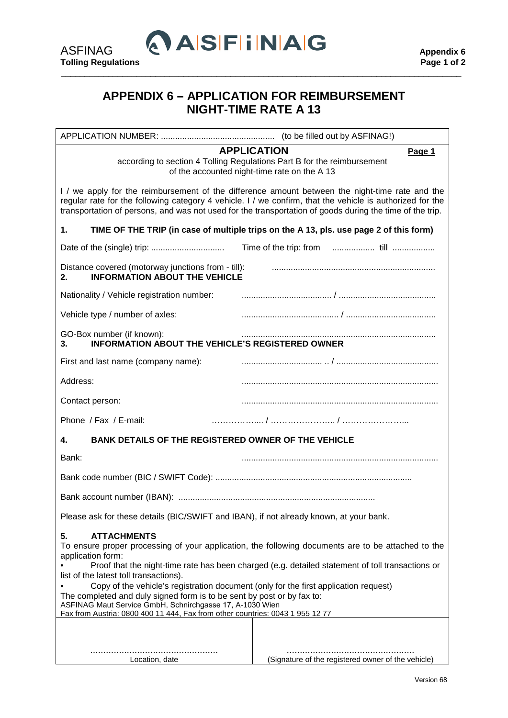

## **APPENDIX 6 – APPLICATION FOR REIMBURSEMENT NIGHT-TIME RATE A 13**

\_\_\_\_\_\_\_\_\_\_\_\_\_\_\_\_\_\_\_\_\_\_\_\_\_\_\_\_\_\_\_\_\_\_\_\_\_\_\_\_\_\_\_\_\_\_\_\_\_\_\_\_\_\_\_\_\_\_\_\_\_\_\_\_\_\_\_\_\_\_\_\_\_\_\_\_\_\_\_\_\_\_\_\_\_

APPLICATION NUMBER: ................................................ (to be filled out by ASFINAG!)

## **APPLICATION Page 1**

according to section 4 Tolling Regulations Part B for the reimbursement of the accounted night-time rate on the A 13

I / we apply for the reimbursement of the difference amount between the night-time rate and the regular rate for the following category 4 vehicle. I / we confirm, that the vehicle is authorized for the transportation of persons, and was not used for the transportation of goods during the time of the trip.

| 1.                                                                                                                                                                                                                                                                                                             | TIME OF THE TRIP (in case of multiple trips on the A 13, pls. use page 2 of this form)                                                                                                                                                                                                         |
|----------------------------------------------------------------------------------------------------------------------------------------------------------------------------------------------------------------------------------------------------------------------------------------------------------------|------------------------------------------------------------------------------------------------------------------------------------------------------------------------------------------------------------------------------------------------------------------------------------------------|
|                                                                                                                                                                                                                                                                                                                |                                                                                                                                                                                                                                                                                                |
| Distance covered (motorway junctions from - till):<br><b>INFORMATION ABOUT THE VEHICLE</b><br>2.                                                                                                                                                                                                               |                                                                                                                                                                                                                                                                                                |
| Nationality / Vehicle registration number:                                                                                                                                                                                                                                                                     |                                                                                                                                                                                                                                                                                                |
| Vehicle type / number of axles:                                                                                                                                                                                                                                                                                |                                                                                                                                                                                                                                                                                                |
| GO-Box number (if known):<br><b>INFORMATION ABOUT THE VEHICLE'S REGISTERED OWNER</b><br>3.                                                                                                                                                                                                                     |                                                                                                                                                                                                                                                                                                |
| First and last name (company name):                                                                                                                                                                                                                                                                            |                                                                                                                                                                                                                                                                                                |
| Address:                                                                                                                                                                                                                                                                                                       |                                                                                                                                                                                                                                                                                                |
| Contact person:                                                                                                                                                                                                                                                                                                |                                                                                                                                                                                                                                                                                                |
| Phone / Fax / E-mail:                                                                                                                                                                                                                                                                                          |                                                                                                                                                                                                                                                                                                |
| <b>BANK DETAILS OF THE REGISTERED OWNER OF THE VEHICLE</b><br>4.                                                                                                                                                                                                                                               |                                                                                                                                                                                                                                                                                                |
| Bank:                                                                                                                                                                                                                                                                                                          |                                                                                                                                                                                                                                                                                                |
|                                                                                                                                                                                                                                                                                                                |                                                                                                                                                                                                                                                                                                |
|                                                                                                                                                                                                                                                                                                                |                                                                                                                                                                                                                                                                                                |
| Please ask for these details (BIC/SWIFT and IBAN), if not already known, at your bank.                                                                                                                                                                                                                         |                                                                                                                                                                                                                                                                                                |
| <b>ATTACHMENTS</b><br>5.<br>application form:<br>list of the latest toll transactions).<br>The completed and duly signed form is to be sent by post or by fax to:<br>ASFINAG Maut Service GmbH, Schnirchgasse 17, A-1030 Wien<br>Fax from Austria: 0800 400 11 444, Fax from other countries: 0043 1 955 12 77 | To ensure proper processing of your application, the following documents are to be attached to the<br>Proof that the night-time rate has been charged (e.g. detailed statement of toll transactions or<br>Copy of the vehicle's registration document (only for the first application request) |
| Location, date                                                                                                                                                                                                                                                                                                 | (Signature of the registered owner of the vehicle)                                                                                                                                                                                                                                             |